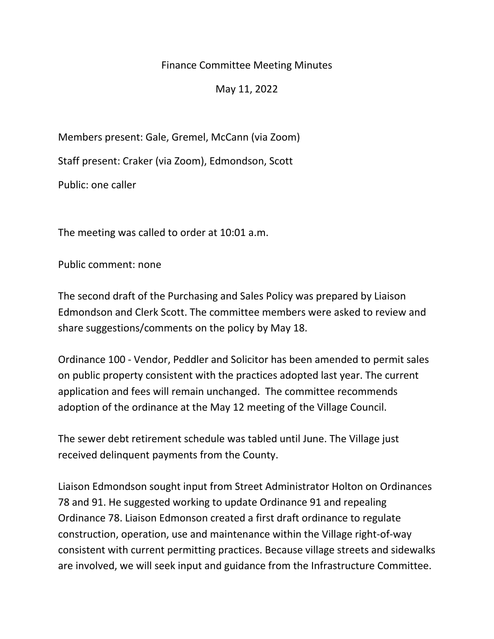## Finance Committee Meeting Minutes

May 11, 2022

Members present: Gale, Gremel, McCann (via Zoom)

Staff present: Craker (via Zoom), Edmondson, Scott

Public: one caller

The meeting was called to order at 10:01 a.m.

Public comment: none

The second draft of the Purchasing and Sales Policy was prepared by Liaison Edmondson and Clerk Scott. The committee members were asked to review and share suggestions/comments on the policy by May 18.

Ordinance 100 - Vendor, Peddler and Solicitor has been amended to permit sales on public property consistent with the practices adopted last year. The current application and fees will remain unchanged. The committee recommends adoption of the ordinance at the May 12 meeting of the Village Council.

The sewer debt retirement schedule was tabled until June. The Village just received delinquent payments from the County.

Liaison Edmondson sought input from Street Administrator Holton on Ordinances 78 and 91. He suggested working to update Ordinance 91 and repealing Ordinance 78. Liaison Edmonson created a first draft ordinance to regulate construction, operation, use and maintenance within the Village right-of-way consistent with current permitting practices. Because village streets and sidewalks are involved, we will seek input and guidance from the Infrastructure Committee.